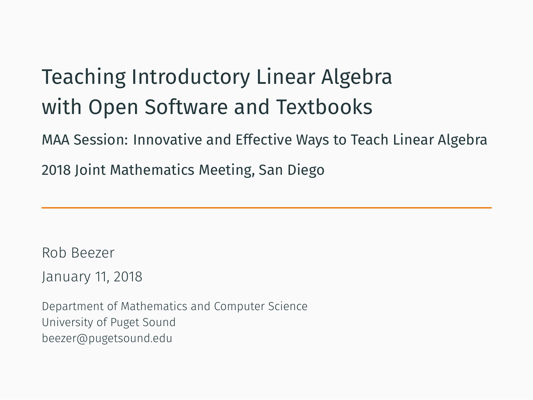Teaching Introductory Linear Algebra with Open Software and Textbooks

MAA Session: Innovative and Effective Ways to Teach Linear Algebra 2018 Joint Mathematics Meeting, San Diego

Rob Beezer

January 11, 2018

Department of Mathematics and Computer Science University of Puget Sound beezer@pugetsound.edu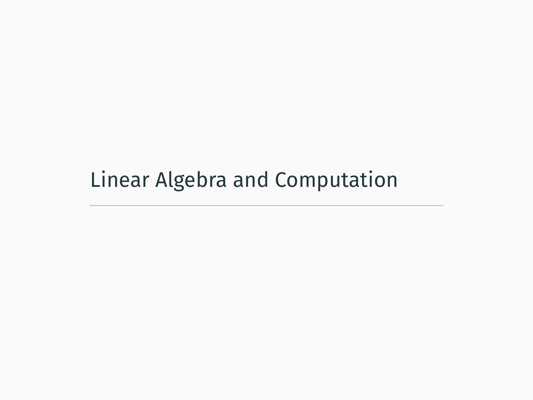Linear Algebra and Computation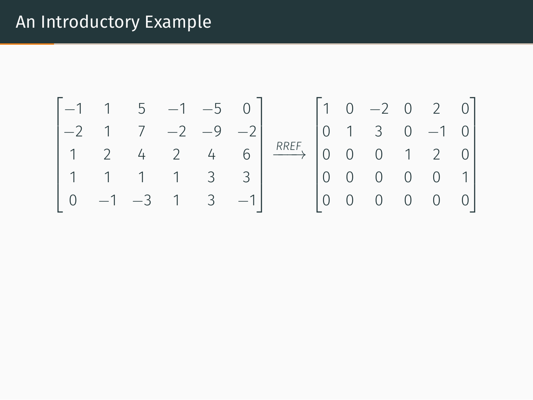# An Introductory Example

$$
\begin{bmatrix} -1 & 1 & 5 & -1 & -5 & 0 \ -2 & 1 & 7 & -2 & -9 & -2 \ 1 & 2 & 4 & 2 & 4 & 6 \ 1 & 1 & 1 & 1 & 3 & 3 \ 0 & -1 & -3 & 1 & 3 & -1 \ \end{bmatrix} \xrightarrow{\text{RREF}} \begin{bmatrix} 1 & 0 & -2 & 0 & 2 & 0 \ 0 & 1 & 3 & 0 & -1 & 0 \ 0 & 0 & 0 & 1 & 2 & 0 \ 0 & 0 & 0 & 0 & 0 & 1 \ 0 & 0 & 0 & 0 & 0 & 0 \ \end{bmatrix}
$$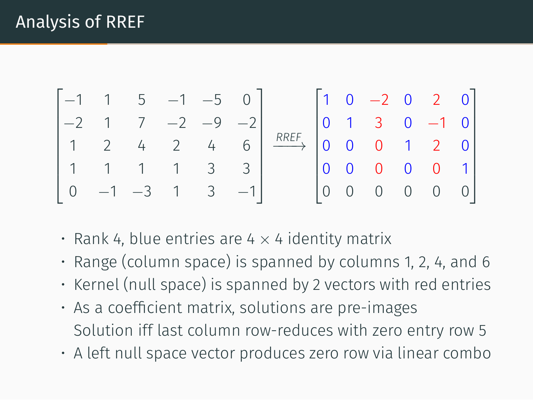

- Rank 4, blue entries are 4 *×* 4 identity matrix
- Range (column space) is spanned by columns 1, 2, 4, and 6
- Kernel (null space) is spanned by 2 vectors with red entries
- As a coefficient matrix, solutions are pre-images Solution iff last column row-reduces with zero entry row 5
- A left null space vector produces zero row via linear combo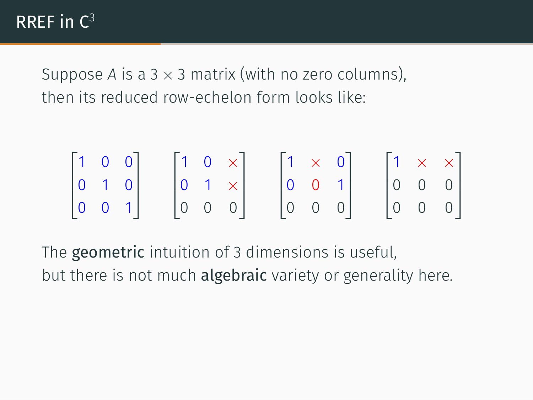Suppose *A* is a 3 *×* 3 matrix (with no zero columns), then its reduced row-echelon form looks like:

$$
\begin{bmatrix} 1 & 0 & 0 \\ 0 & 1 & 0 \\ 0 & 0 & 1 \end{bmatrix} \quad \begin{bmatrix} 1 & 0 & \times \\ 0 & 1 & \times \\ 0 & 0 & 0 \end{bmatrix} \quad \begin{bmatrix} 1 & \times & 0 \\ 0 & 0 & 1 \\ 0 & 0 & 0 \end{bmatrix} \quad \begin{bmatrix} 1 & \times & \times \\ 0 & 0 & 0 \\ 0 & 0 & 0 \end{bmatrix}
$$

The geometric intuition of 3 dimensions is useful, but there is not much algebraic variety or generality here.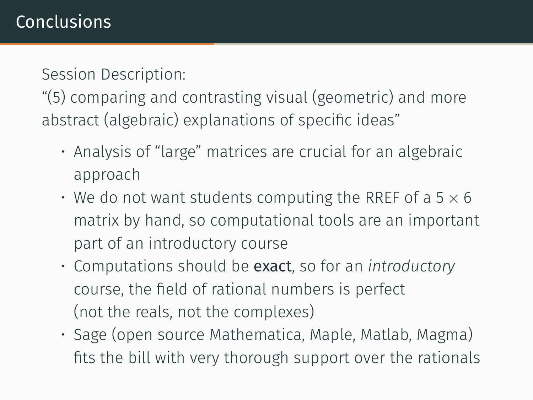Session Description:

"(5) comparing and contrasting visual (geometric) and more abstract (algebraic) explanations of specific ideas"

- Analysis of "large" matrices are crucial for an algebraic approach
- We do not want students computing the RREF of a 5 *×* 6 matrix by hand, so computational tools are an important part of an introductory course
- Computations should be exact, so for an *introductory* course, the field of rational numbers is perfect (not the reals, not the complexes)
- Sage (open source Mathematica, Maple, Matlab, Magma) fits the bill with very thorough support over the rationals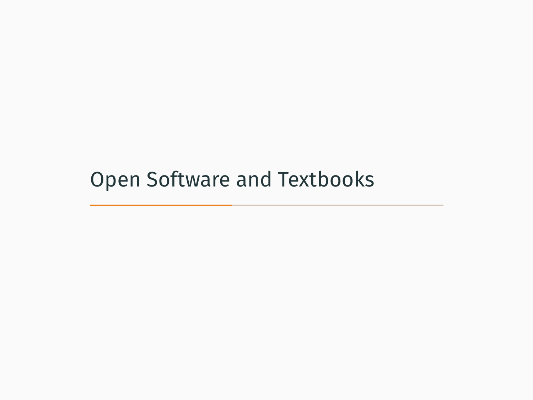Open Software and Textbooks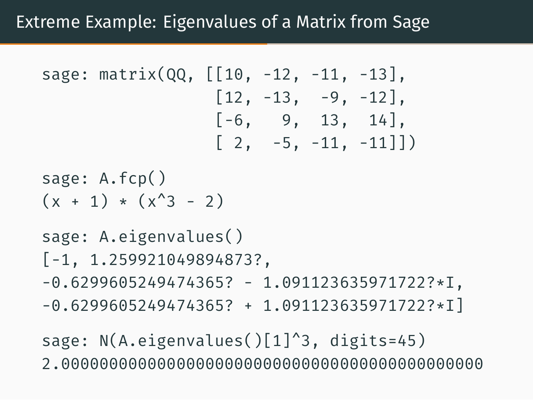### Extreme Example: Eigenvalues of a Matrix from Sage

```
sage: matrix(QQ, [[10, -12, -11, -13],
                   \begin{bmatrix} 12, -13, -9, -12 \end{bmatrix}[-6, 9, 13, 14][2, -5, -11, -11]sage: A.fcp()
(x + 1) * (x^3 - 2)sage: A.eigenvalues()
[-1, 1.259921049894873?,
-0.6299605249474365? - 1.091123635971722?*I,-0.6299605249474365? + 1.091123635971722?*I]
```
sage: N(A.eigenvalues()[1]^3, digits=45) 2.00000000000000000000000000000000000000000000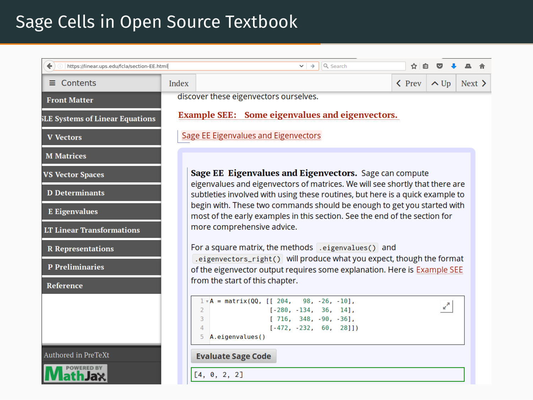### Sage Cells in Open Source Textbook

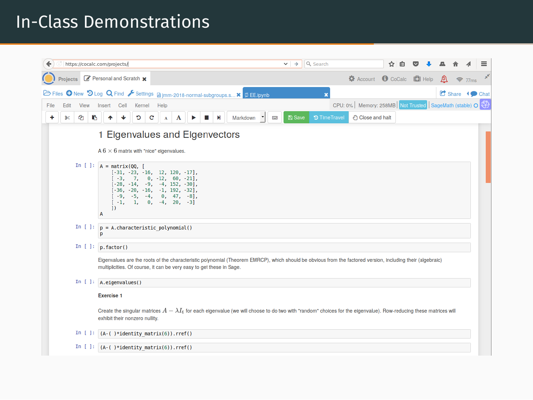### In-Class Demonstrations

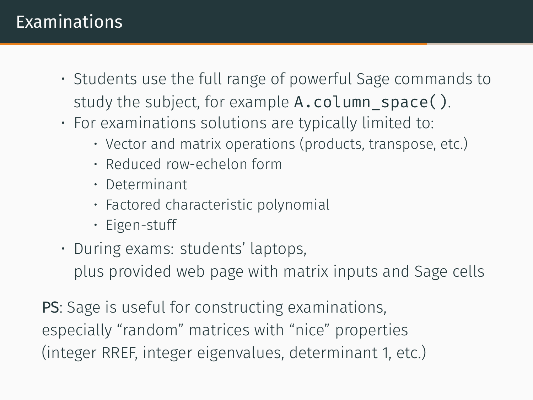## **Examinations**

- Students use the full range of powerful Sage commands to study the subject, for example  $A$ .column space().
- For examinations solutions are typically limited to:
	- Vector and matrix operations (products, transpose, etc.)
	- Reduced row-echelon form
	- Determinant
	- Factored characteristic polynomial
	- Eigen-stuff
- During exams: students' laptops,

plus provided web page with matrix inputs and Sage cells

PS: Sage is useful for constructing examinations, especially "random" matrices with "nice" properties (integer RREF, integer eigenvalues, determinant 1, etc.)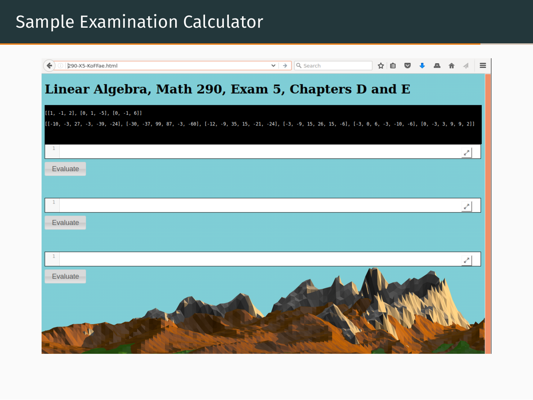# Sample Examination Calculator

| 290-X5-KoFFae.html                                                                                                                                                                                        | Q Search<br>$\rightarrow$<br>$\checkmark$ |  |  | $\equiv$ |
|-----------------------------------------------------------------------------------------------------------------------------------------------------------------------------------------------------------|-------------------------------------------|--|--|----------|
| Linear Algebra, Math 290, Exam 5, Chapters D and E                                                                                                                                                        |                                           |  |  |          |
| $[(1, -1, 2), [0, 1, -5], [0, -1, 6]]$<br>[[-10, -3, 27, -3, -39, -24], [-30, -37, 99, 87, -3, -60], [-12, -9, 35, 15, -21, -24], [-3, -9, 15, 26, 15, -6], [-3, 0, 6, -3, -10, -6], [0, -3, 3, 9, 9, 2]] |                                           |  |  |          |
|                                                                                                                                                                                                           |                                           |  |  |          |
| Evaluate                                                                                                                                                                                                  |                                           |  |  |          |
| $\mathbf{1}$                                                                                                                                                                                              |                                           |  |  | همن      |
| Evaluate                                                                                                                                                                                                  |                                           |  |  |          |
| $\mathbf{1}$                                                                                                                                                                                              |                                           |  |  |          |
| Evaluate                                                                                                                                                                                                  |                                           |  |  |          |